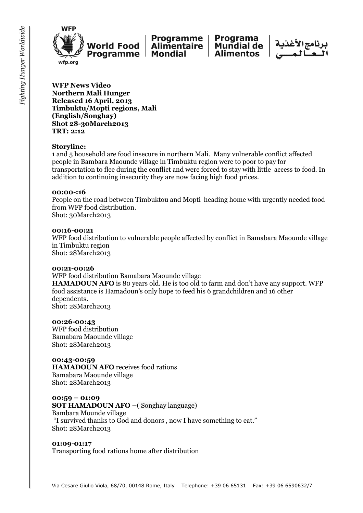



**Programa Mundial de Alimentos** 



**WFP News Video Northern Mali Hunger Released 16 April, 2013 Timbuktu/Mopti regions, Mali (English/Songhay) Shot 28-30March2013 TRT: 2:12**

#### **Storyline:**

1 and 5 household are food insecure in northern Mali. Many vulnerable conflict affected people in Bambara Maounde village in Timbuktu region were to poor to pay for transportation to flee during the conflict and were forced to stay with little access to food. In addition to continuing insecurity they are now facing high food prices.

#### **00:00-:16**

People on the road between Timbuktou and Mopti heading home with urgently needed food from WFP food distribution. Shot: 30March2013

#### **00:16-00:21**

WFP food distribution to vulnerable people affected by conflict in Bamabara Maounde village in Timbuktu region Shot: 28March2013

#### **00:21-00:26**

WFP food distribution Bamabara Maounde village **HAMADOUN AFO** is 80 years old. He is too old to farm and don't have any support. WFP food assistance is Hamadoun's only hope to feed his 6 grandchildren and 16 other dependents. Shot: 28March2013

#### **00:26-00:43**

WFP food distribution Bamabara Maounde village Shot: 28March2013

#### **00:43-00:59**

**HAMADOUN AFO** receives food rations Bamabara Maounde village Shot: 28March2013

#### **00:59 – 01:09**

**SOT HAMADOUN AFO –**( Songhay language) Bambara Mounde village "I survived thanks to God and donors , now I have something to eat." Shot: 28March2013

#### **01:09-01:17**

Transporting food rations home after distribution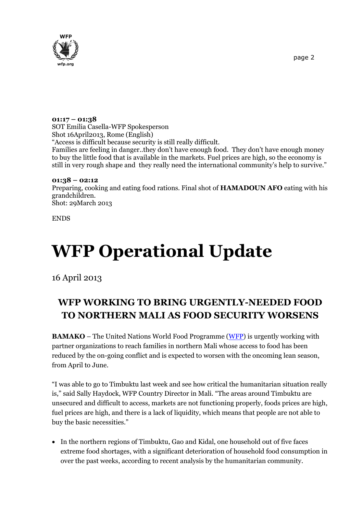

## **01:17 – 01:38**

SOT Emilia Casella-WFP Spokesperson Shot 16April2013, Rome (English) "Access is difficult because security is still really difficult. Families are feeling in danger..they don't have enough food. They don't have enough money to buy the little food that is available in the markets. Fuel prices are high, so the economy is still in very rough shape and they really need the international community's help to survive."

### **01:38 – 02:12**

Preparing, cooking and eating food rations. Final shot of **HAMADOUN AFO** eating with his grandchildren. Shot: 29March 2013

ENDS

# **WFP Operational Update**

16 April 2013

# **WFP WORKING TO BRING URGENTLY-NEEDED FOOD TO NORTHERN MALI AS FOOD SECURITY WORSENS**

**BAMAKO** – The United Nations World Food Programme [\(WFP\)](http://www.wfp.org/) is urgently working with partner organizations to reach families in northern Mali whose access to food has been reduced by the on-going conflict and is expected to worsen with the oncoming lean season, from April to June.

"I was able to go to Timbuktu last week and see how critical the humanitarian situation really is," said Sally Haydock, WFP Country Director in Mali. "The areas around Timbuktu are unsecured and difficult to access, markets are not functioning properly, foods prices are high, fuel prices are high, and there is a lack of liquidity, which means that people are not able to buy the basic necessities."

 In the northern regions of Timbuktu, Gao and Kidal, one household out of five faces extreme food shortages, with a significant deterioration of household food consumption in over the past weeks, according to recent analysis by the humanitarian community.